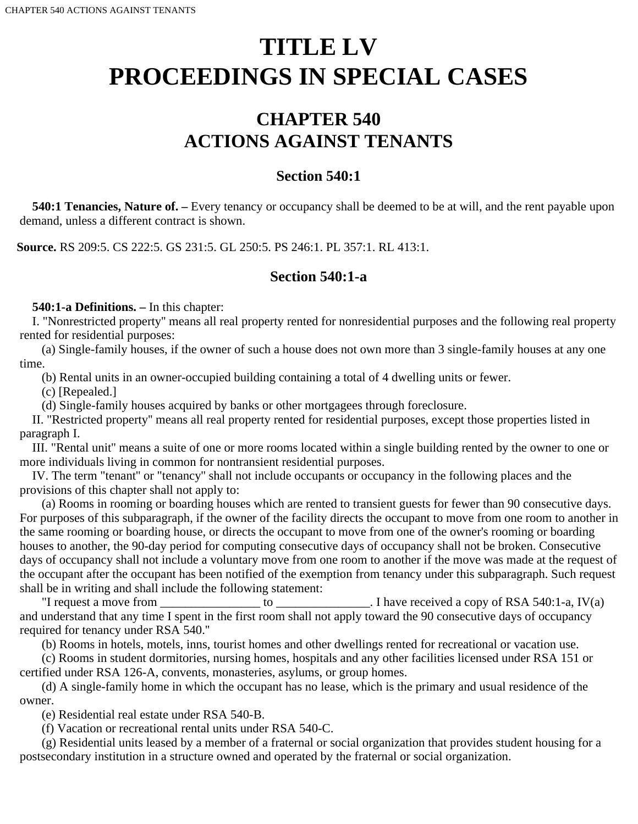# **TITLE LV PROCEEDINGS IN SPECIAL CASES**

# **CHAPTER 540 ACTIONS AGAINST TENANTS**

# **Section 540:1**

 **540:1 Tenancies, Nature of. –** Every tenancy or occupancy shall be deemed to be at will, and the rent payable upon demand, unless a different contract is shown.

**Source.** RS 209:5. CS 222:5. GS 231:5. GL 250:5. PS 246:1. PL 357:1. RL 413:1.

# **Section 540:1-a**

 **540:1-a Definitions. –** In this chapter:

I. "Nonrestricted property'' means all real property rented for nonresidential purposes and the following real property rented for residential purposes:

(a) Single-family houses, if the owner of such a house does not own more than 3 single-family houses at any one time.

(b) Rental units in an owner-occupied building containing a total of 4 dwelling units or fewer.

(c) [Repealed.]

(d) Single-family houses acquired by banks or other mortgagees through foreclosure.

II. "Restricted property'' means all real property rented for residential purposes, except those properties listed in paragraph I.

III. "Rental unit'' means a suite of one or more rooms located within a single building rented by the owner to one or more individuals living in common for nontransient residential purposes.

IV. The term "tenant'' or "tenancy'' shall not include occupants or occupancy in the following places and the provisions of this chapter shall not apply to:

(a) Rooms in rooming or boarding houses which are rented to transient guests for fewer than 90 consecutive days. For purposes of this subparagraph, if the owner of the facility directs the occupant to move from one room to another in the same rooming or boarding house, or directs the occupant to move from one of the owner's rooming or boarding houses to another, the 90-day period for computing consecutive days of occupancy shall not be broken. Consecutive days of occupancy shall not include a voluntary move from one room to another if the move was made at the request of the occupant after the occupant has been notified of the exemption from tenancy under this subparagraph. Such request shall be in writing and shall include the following statement:

"I request a move from  $\frac{1}{\sqrt{a}}$  to  $\frac{1}{\sqrt{a}}$ . I have received a copy of RSA 540:1-a, IV(a) and understand that any time I spent in the first room shall not apply toward the 90 consecutive days of occupancy required for tenancy under RSA 540.''

(b) Rooms in hotels, motels, inns, tourist homes and other dwellings rented for recreational or vacation use.

(c) Rooms in student dormitories, nursing homes, hospitals and any other facilities licensed under RSA 151 or certified under RSA 126-A, convents, monasteries, asylums, or group homes.

(d) A single-family home in which the occupant has no lease, which is the primary and usual residence of the owner.

(e) Residential real estate under RSA 540-B.

(f) Vacation or recreational rental units under RSA 540-C.

(g) Residential units leased by a member of a fraternal or social organization that provides student housing for a postsecondary institution in a structure owned and operated by the fraternal or social organization.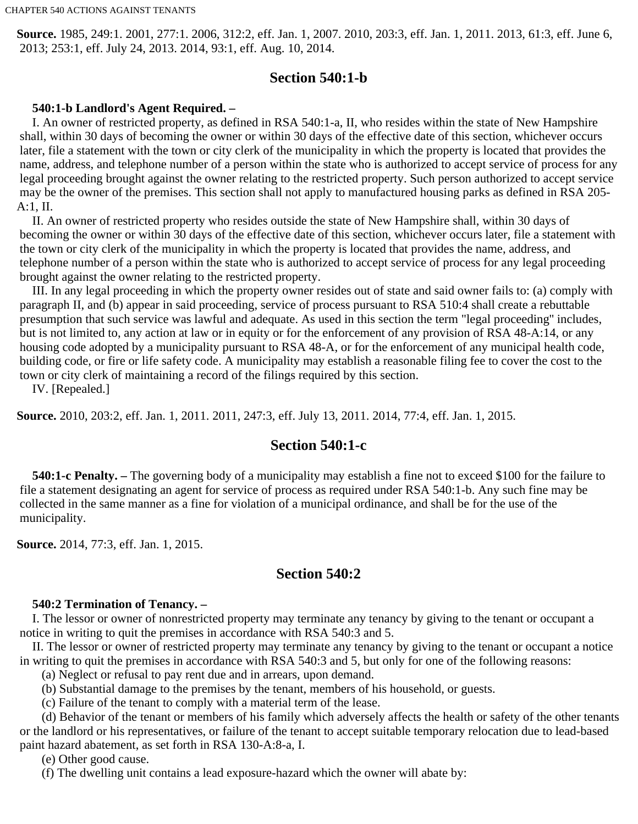**Source.** 1985, 249:1. 2001, 277:1. 2006, 312:2, eff. Jan. 1, 2007. 2010, 203:3, eff. Jan. 1, 2011. 2013, 61:3, eff. June 6, 2013; 253:1, eff. July 24, 2013. 2014, 93:1, eff. Aug. 10, 2014.

# **Section 540:1-b**

#### **540:1-b Landlord's Agent Required. –**

I. An owner of restricted property, as defined in RSA 540:1-a, II, who resides within the state of New Hampshire shall, within 30 days of becoming the owner or within 30 days of the effective date of this section, whichever occurs later, file a statement with the town or city clerk of the municipality in which the property is located that provides the name, address, and telephone number of a person within the state who is authorized to accept service of process for any legal proceeding brought against the owner relating to the restricted property. Such person authorized to accept service may be the owner of the premises. This section shall not apply to manufactured housing parks as defined in RSA 205- A:1, II.

II. An owner of restricted property who resides outside the state of New Hampshire shall, within 30 days of becoming the owner or within 30 days of the effective date of this section, whichever occurs later, file a statement with the town or city clerk of the municipality in which the property is located that provides the name, address, and telephone number of a person within the state who is authorized to accept service of process for any legal proceeding brought against the owner relating to the restricted property.

III. In any legal proceeding in which the property owner resides out of state and said owner fails to: (a) comply with paragraph II, and (b) appear in said proceeding, service of process pursuant to RSA 510:4 shall create a rebuttable presumption that such service was lawful and adequate. As used in this section the term "legal proceeding'' includes, but is not limited to, any action at law or in equity or for the enforcement of any provision of RSA 48-A:14, or any housing code adopted by a municipality pursuant to RSA 48-A, or for the enforcement of any municipal health code, building code, or fire or life safety code. A municipality may establish a reasonable filing fee to cover the cost to the town or city clerk of maintaining a record of the filings required by this section.

IV. [Repealed.]

**Source.** 2010, 203:2, eff. Jan. 1, 2011. 2011, 247:3, eff. July 13, 2011. 2014, 77:4, eff. Jan. 1, 2015.

# **Section 540:1-c**

 **540:1-c Penalty. –** The governing body of a municipality may establish a fine not to exceed \$100 for the failure to file a statement designating an agent for service of process as required under RSA 540:1-b. Any such fine may be collected in the same manner as a fine for violation of a municipal ordinance, and shall be for the use of the municipality.

**Source.** 2014, 77:3, eff. Jan. 1, 2015.

# **Section 540:2**

#### **540:2 Termination of Tenancy. –**

I. The lessor or owner of nonrestricted property may terminate any tenancy by giving to the tenant or occupant a notice in writing to quit the premises in accordance with RSA 540:3 and 5.

II. The lessor or owner of restricted property may terminate any tenancy by giving to the tenant or occupant a notice in writing to quit the premises in accordance with RSA 540:3 and 5, but only for one of the following reasons:

(a) Neglect or refusal to pay rent due and in arrears, upon demand.

(b) Substantial damage to the premises by the tenant, members of his household, or guests.

(c) Failure of the tenant to comply with a material term of the lease.

(d) Behavior of the tenant or members of his family which adversely affects the health or safety of the other tenants or the landlord or his representatives, or failure of the tenant to accept suitable temporary relocation due to lead-based paint hazard abatement, as set forth in RSA 130-A:8-a, I.

(e) Other good cause.

(f) The dwelling unit contains a lead exposure-hazard which the owner will abate by: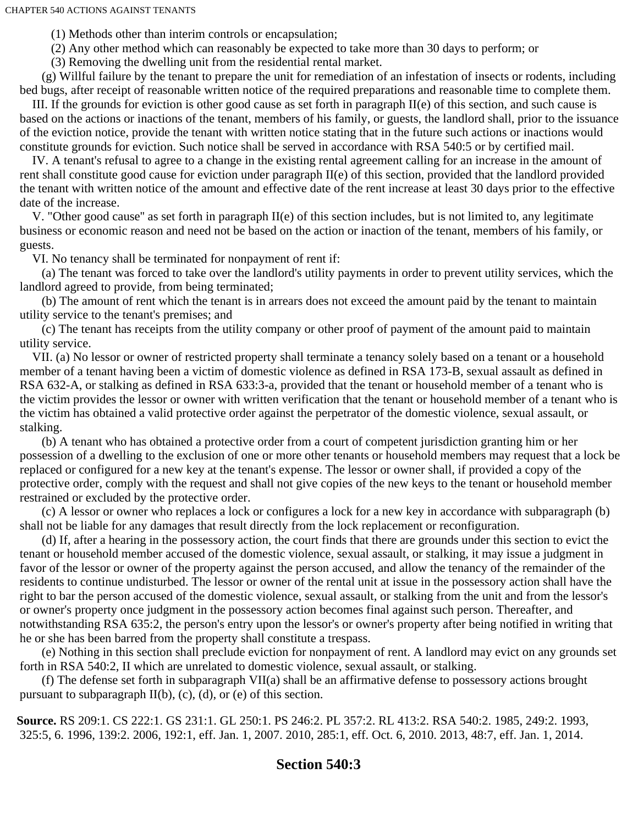CHAPTER 540 ACTIONS AGAINST TENANTS

(1) Methods other than interim controls or encapsulation;

(2) Any other method which can reasonably be expected to take more than 30 days to perform; or

(3) Removing the dwelling unit from the residential rental market.

(g) Willful failure by the tenant to prepare the unit for remediation of an infestation of insects or rodents, including bed bugs, after receipt of reasonable written notice of the required preparations and reasonable time to complete them.

III. If the grounds for eviction is other good cause as set forth in paragraph II(e) of this section, and such cause is based on the actions or inactions of the tenant, members of his family, or guests, the landlord shall, prior to the issuance of the eviction notice, provide the tenant with written notice stating that in the future such actions or inactions would constitute grounds for eviction. Such notice shall be served in accordance with RSA 540:5 or by certified mail.

IV. A tenant's refusal to agree to a change in the existing rental agreement calling for an increase in the amount of rent shall constitute good cause for eviction under paragraph II(e) of this section, provided that the landlord provided the tenant with written notice of the amount and effective date of the rent increase at least 30 days prior to the effective date of the increase.

V. "Other good cause'' as set forth in paragraph II(e) of this section includes, but is not limited to, any legitimate business or economic reason and need not be based on the action or inaction of the tenant, members of his family, or guests.

VI. No tenancy shall be terminated for nonpayment of rent if:

(a) The tenant was forced to take over the landlord's utility payments in order to prevent utility services, which the landlord agreed to provide, from being terminated;

(b) The amount of rent which the tenant is in arrears does not exceed the amount paid by the tenant to maintain utility service to the tenant's premises; and

(c) The tenant has receipts from the utility company or other proof of payment of the amount paid to maintain utility service.

VII. (a) No lessor or owner of restricted property shall terminate a tenancy solely based on a tenant or a household member of a tenant having been a victim of domestic violence as defined in RSA 173-B, sexual assault as defined in RSA 632-A, or stalking as defined in RSA 633:3-a, provided that the tenant or household member of a tenant who is the victim provides the lessor or owner with written verification that the tenant or household member of a tenant who is the victim has obtained a valid protective order against the perpetrator of the domestic violence, sexual assault, or stalking.

(b) A tenant who has obtained a protective order from a court of competent jurisdiction granting him or her possession of a dwelling to the exclusion of one or more other tenants or household members may request that a lock be replaced or configured for a new key at the tenant's expense. The lessor or owner shall, if provided a copy of the protective order, comply with the request and shall not give copies of the new keys to the tenant or household member restrained or excluded by the protective order.

(c) A lessor or owner who replaces a lock or configures a lock for a new key in accordance with subparagraph (b) shall not be liable for any damages that result directly from the lock replacement or reconfiguration.

(d) If, after a hearing in the possessory action, the court finds that there are grounds under this section to evict the tenant or household member accused of the domestic violence, sexual assault, or stalking, it may issue a judgment in favor of the lessor or owner of the property against the person accused, and allow the tenancy of the remainder of the residents to continue undisturbed. The lessor or owner of the rental unit at issue in the possessory action shall have the right to bar the person accused of the domestic violence, sexual assault, or stalking from the unit and from the lessor's or owner's property once judgment in the possessory action becomes final against such person. Thereafter, and notwithstanding RSA 635:2, the person's entry upon the lessor's or owner's property after being notified in writing that he or she has been barred from the property shall constitute a trespass.

(e) Nothing in this section shall preclude eviction for nonpayment of rent. A landlord may evict on any grounds set forth in RSA 540:2, II which are unrelated to domestic violence, sexual assault, or stalking.

(f) The defense set forth in subparagraph VII(a) shall be an affirmative defense to possessory actions brought pursuant to subparagraph  $II(b)$ , (c), (d), or (e) of this section.

**Source.** RS 209:1. CS 222:1. GS 231:1. GL 250:1. PS 246:2. PL 357:2. RL 413:2. RSA 540:2. 1985, 249:2. 1993, 325:5, 6. 1996, 139:2. 2006, 192:1, eff. Jan. 1, 2007. 2010, 285:1, eff. Oct. 6, 2010. 2013, 48:7, eff. Jan. 1, 2014.

# **Section 540:3**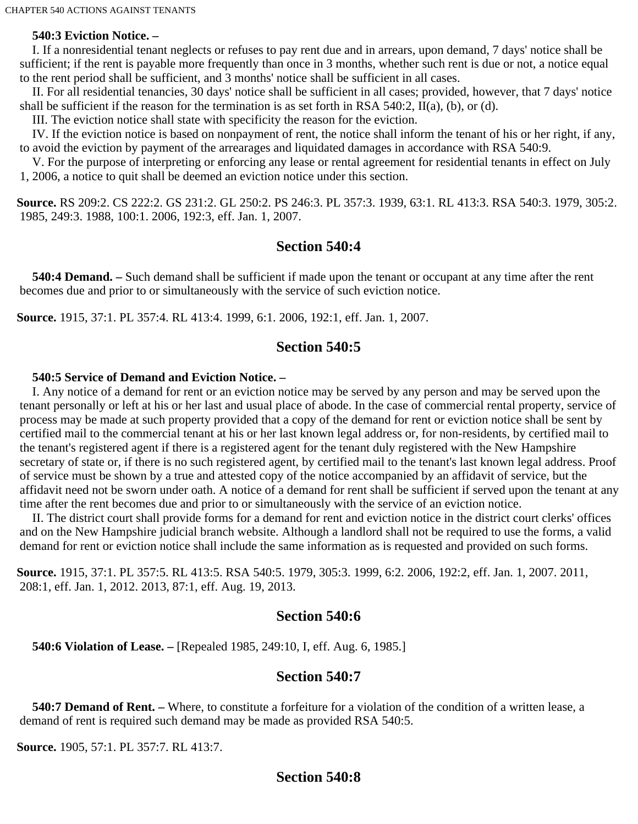### **540:3 Eviction Notice. –**

I. If a nonresidential tenant neglects or refuses to pay rent due and in arrears, upon demand, 7 days' notice shall be sufficient; if the rent is payable more frequently than once in 3 months, whether such rent is due or not, a notice equal to the rent period shall be sufficient, and 3 months' notice shall be sufficient in all cases.

II. For all residential tenancies, 30 days' notice shall be sufficient in all cases; provided, however, that 7 days' notice shall be sufficient if the reason for the termination is as set forth in RSA 540:2, II(a), (b), or (d).

III. The eviction notice shall state with specificity the reason for the eviction.

IV. If the eviction notice is based on nonpayment of rent, the notice shall inform the tenant of his or her right, if any, to avoid the eviction by payment of the arrearages and liquidated damages in accordance with RSA 540:9.

V. For the purpose of interpreting or enforcing any lease or rental agreement for residential tenants in effect on July 1, 2006, a notice to quit shall be deemed an eviction notice under this section.

**Source.** RS 209:2. CS 222:2. GS 231:2. GL 250:2. PS 246:3. PL 357:3. 1939, 63:1. RL 413:3. RSA 540:3. 1979, 305:2. 1985, 249:3. 1988, 100:1. 2006, 192:3, eff. Jan. 1, 2007.

#### **Section 540:4**

 **540:4 Demand. –** Such demand shall be sufficient if made upon the tenant or occupant at any time after the rent becomes due and prior to or simultaneously with the service of such eviction notice.

**Source.** 1915, 37:1. PL 357:4. RL 413:4. 1999, 6:1. 2006, 192:1, eff. Jan. 1, 2007.

#### **Section 540:5**

#### **540:5 Service of Demand and Eviction Notice. –**

I. Any notice of a demand for rent or an eviction notice may be served by any person and may be served upon the tenant personally or left at his or her last and usual place of abode. In the case of commercial rental property, service of process may be made at such property provided that a copy of the demand for rent or eviction notice shall be sent by certified mail to the commercial tenant at his or her last known legal address or, for non-residents, by certified mail to the tenant's registered agent if there is a registered agent for the tenant duly registered with the New Hampshire secretary of state or, if there is no such registered agent, by certified mail to the tenant's last known legal address. Proof of service must be shown by a true and attested copy of the notice accompanied by an affidavit of service, but the affidavit need not be sworn under oath. A notice of a demand for rent shall be sufficient if served upon the tenant at any time after the rent becomes due and prior to or simultaneously with the service of an eviction notice.

II. The district court shall provide forms for a demand for rent and eviction notice in the district court clerks' offices and on the New Hampshire judicial branch website. Although a landlord shall not be required to use the forms, a valid demand for rent or eviction notice shall include the same information as is requested and provided on such forms.

**Source.** 1915, 37:1. PL 357:5. RL 413:5. RSA 540:5. 1979, 305:3. 1999, 6:2. 2006, 192:2, eff. Jan. 1, 2007. 2011, 208:1, eff. Jan. 1, 2012. 2013, 87:1, eff. Aug. 19, 2013.

#### **Section 540:6**

 **540:6 Violation of Lease. –** [Repealed 1985, 249:10, I, eff. Aug. 6, 1985.]

#### **Section 540:7**

 **540:7 Demand of Rent. –** Where, to constitute a forfeiture for a violation of the condition of a written lease, a demand of rent is required such demand may be made as provided RSA 540:5.

**Source.** 1905, 57:1. PL 357:7. RL 413:7.

# **Section 540:8**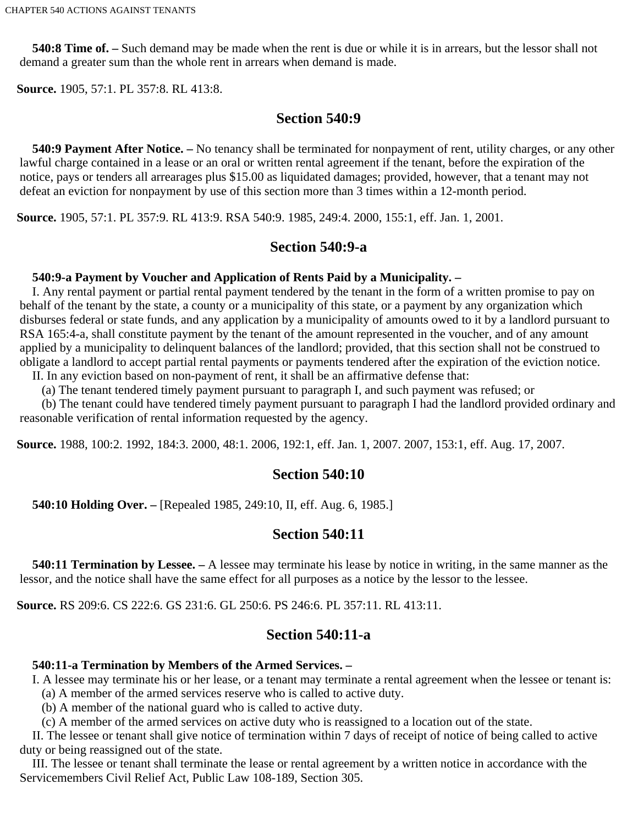**540:8 Time of. –** Such demand may be made when the rent is due or while it is in arrears, but the lessor shall not demand a greater sum than the whole rent in arrears when demand is made.

**Source.** 1905, 57:1. PL 357:8. RL 413:8.

# **Section 540:9**

 **540:9 Payment After Notice. –** No tenancy shall be terminated for nonpayment of rent, utility charges, or any other lawful charge contained in a lease or an oral or written rental agreement if the tenant, before the expiration of the notice, pays or tenders all arrearages plus \$15.00 as liquidated damages; provided, however, that a tenant may not defeat an eviction for nonpayment by use of this section more than 3 times within a 12-month period.

**Source.** 1905, 57:1. PL 357:9. RL 413:9. RSA 540:9. 1985, 249:4. 2000, 155:1, eff. Jan. 1, 2001.

# **Section 540:9-a**

#### **540:9-a Payment by Voucher and Application of Rents Paid by a Municipality. –**

I. Any rental payment or partial rental payment tendered by the tenant in the form of a written promise to pay on behalf of the tenant by the state, a county or a municipality of this state, or a payment by any organization which disburses federal or state funds, and any application by a municipality of amounts owed to it by a landlord pursuant to RSA 165:4-a, shall constitute payment by the tenant of the amount represented in the voucher, and of any amount applied by a municipality to delinquent balances of the landlord; provided, that this section shall not be construed to obligate a landlord to accept partial rental payments or payments tendered after the expiration of the eviction notice.

II. In any eviction based on non-payment of rent, it shall be an affirmative defense that:

(a) The tenant tendered timely payment pursuant to paragraph I, and such payment was refused; or

(b) The tenant could have tendered timely payment pursuant to paragraph I had the landlord provided ordinary and reasonable verification of rental information requested by the agency.

**Source.** 1988, 100:2. 1992, 184:3. 2000, 48:1. 2006, 192:1, eff. Jan. 1, 2007. 2007, 153:1, eff. Aug. 17, 2007.

# **Section 540:10**

 **540:10 Holding Over. –** [Repealed 1985, 249:10, II, eff. Aug. 6, 1985.]

# **Section 540:11**

 **540:11 Termination by Lessee. –** A lessee may terminate his lease by notice in writing, in the same manner as the lessor, and the notice shall have the same effect for all purposes as a notice by the lessor to the lessee.

**Source.** RS 209:6. CS 222:6. GS 231:6. GL 250:6. PS 246:6. PL 357:11. RL 413:11.

# **Section 540:11-a**

# **540:11-a Termination by Members of the Armed Services. –**

I. A lessee may terminate his or her lease, or a tenant may terminate a rental agreement when the lessee or tenant is: (a) A member of the armed services reserve who is called to active duty.

(b) A member of the national guard who is called to active duty.

(c) A member of the armed services on active duty who is reassigned to a location out of the state.

II. The lessee or tenant shall give notice of termination within 7 days of receipt of notice of being called to active duty or being reassigned out of the state.

III. The lessee or tenant shall terminate the lease or rental agreement by a written notice in accordance with the Servicemembers Civil Relief Act, Public Law 108-189, Section 305.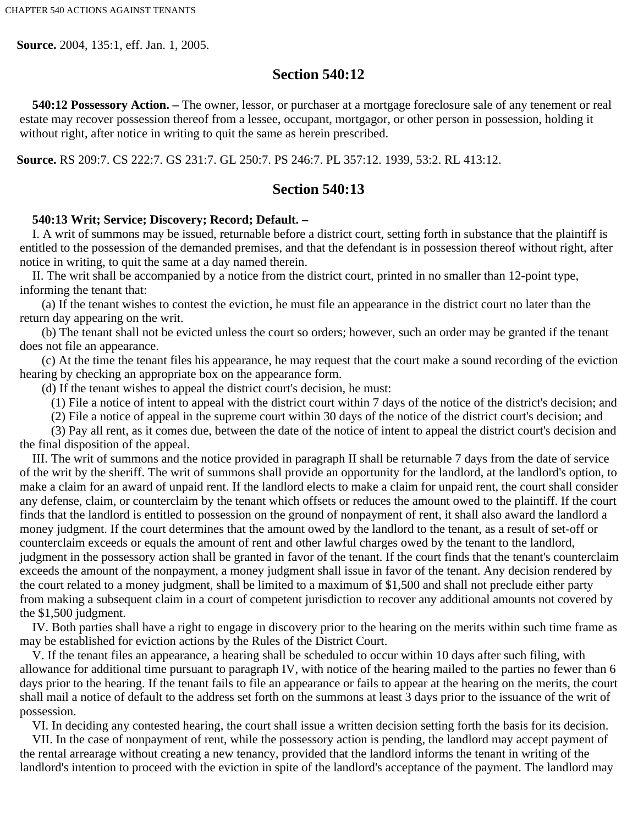**Source.** 2004, 135:1, eff. Jan. 1, 2005.

# **Section 540:12**

 **540:12 Possessory Action. –** The owner, lessor, or purchaser at a mortgage foreclosure sale of any tenement or real estate may recover possession thereof from a lessee, occupant, mortgagor, or other person in possession, holding it without right, after notice in writing to quit the same as herein prescribed.

**Source.** RS 209:7. CS 222:7. GS 231:7. GL 250:7. PS 246:7. PL 357:12. 1939, 53:2. RL 413:12.

# **Section 540:13**

#### **540:13 Writ; Service; Discovery; Record; Default. –**

I. A writ of summons may be issued, returnable before a district court, setting forth in substance that the plaintiff is entitled to the possession of the demanded premises, and that the defendant is in possession thereof without right, after notice in writing, to quit the same at a day named therein.

II. The writ shall be accompanied by a notice from the district court, printed in no smaller than 12-point type, informing the tenant that:

(a) If the tenant wishes to contest the eviction, he must file an appearance in the district court no later than the return day appearing on the writ.

(b) The tenant shall not be evicted unless the court so orders; however, such an order may be granted if the tenant does not file an appearance.

(c) At the time the tenant files his appearance, he may request that the court make a sound recording of the eviction hearing by checking an appropriate box on the appearance form.

(d) If the tenant wishes to appeal the district court's decision, he must:

(1) File a notice of intent to appeal with the district court within 7 days of the notice of the district's decision; and

(2) File a notice of appeal in the supreme court within 30 days of the notice of the district court's decision; and

(3) Pay all rent, as it comes due, between the date of the notice of intent to appeal the district court's decision and the final disposition of the appeal.

III. The writ of summons and the notice provided in paragraph II shall be returnable 7 days from the date of service of the writ by the sheriff. The writ of summons shall provide an opportunity for the landlord, at the landlord's option, to make a claim for an award of unpaid rent. If the landlord elects to make a claim for unpaid rent, the court shall consider any defense, claim, or counterclaim by the tenant which offsets or reduces the amount owed to the plaintiff. If the court finds that the landlord is entitled to possession on the ground of nonpayment of rent, it shall also award the landlord a money judgment. If the court determines that the amount owed by the landlord to the tenant, as a result of set-off or counterclaim exceeds or equals the amount of rent and other lawful charges owed by the tenant to the landlord, judgment in the possessory action shall be granted in favor of the tenant. If the court finds that the tenant's counterclaim exceeds the amount of the nonpayment, a money judgment shall issue in favor of the tenant. Any decision rendered by the court related to a money judgment, shall be limited to a maximum of \$1,500 and shall not preclude either party from making a subsequent claim in a court of competent jurisdiction to recover any additional amounts not covered by the \$1,500 judgment.

IV. Both parties shall have a right to engage in discovery prior to the hearing on the merits within such time frame as may be established for eviction actions by the Rules of the District Court.

V. If the tenant files an appearance, a hearing shall be scheduled to occur within 10 days after such filing, with allowance for additional time pursuant to paragraph IV, with notice of the hearing mailed to the parties no fewer than 6 days prior to the hearing. If the tenant fails to file an appearance or fails to appear at the hearing on the merits, the court shall mail a notice of default to the address set forth on the summons at least 3 days prior to the issuance of the writ of possession.

VI. In deciding any contested hearing, the court shall issue a written decision setting forth the basis for its decision.

VII. In the case of nonpayment of rent, while the possessory action is pending, the landlord may accept payment of the rental arrearage without creating a new tenancy, provided that the landlord informs the tenant in writing of the landlord's intention to proceed with the eviction in spite of the landlord's acceptance of the payment. The landlord may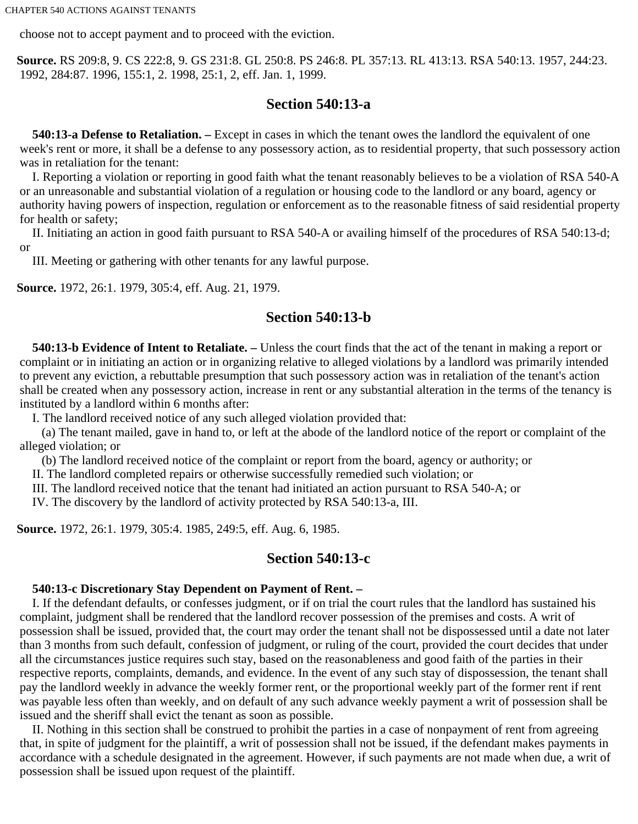choose not to accept payment and to proceed with the eviction.

**Source.** RS 209:8, 9. CS 222:8, 9. GS 231:8. GL 250:8. PS 246:8. PL 357:13. RL 413:13. RSA 540:13. 1957, 244:23. 1992, 284:87. 1996, 155:1, 2. 1998, 25:1, 2, eff. Jan. 1, 1999.

# **Section 540:13-a**

 **540:13-a Defense to Retaliation. –** Except in cases in which the tenant owes the landlord the equivalent of one week's rent or more, it shall be a defense to any possessory action, as to residential property, that such possessory action was in retaliation for the tenant:

I. Reporting a violation or reporting in good faith what the tenant reasonably believes to be a violation of RSA 540-A or an unreasonable and substantial violation of a regulation or housing code to the landlord or any board, agency or authority having powers of inspection, regulation or enforcement as to the reasonable fitness of said residential property for health or safety;

II. Initiating an action in good faith pursuant to RSA 540-A or availing himself of the procedures of RSA 540:13-d; or

III. Meeting or gathering with other tenants for any lawful purpose.

**Source.** 1972, 26:1. 1979, 305:4, eff. Aug. 21, 1979.

#### **Section 540:13-b**

 **540:13-b Evidence of Intent to Retaliate. –** Unless the court finds that the act of the tenant in making a report or complaint or in initiating an action or in organizing relative to alleged violations by a landlord was primarily intended to prevent any eviction, a rebuttable presumption that such possessory action was in retaliation of the tenant's action shall be created when any possessory action, increase in rent or any substantial alteration in the terms of the tenancy is instituted by a landlord within 6 months after:

I. The landlord received notice of any such alleged violation provided that:

(a) The tenant mailed, gave in hand to, or left at the abode of the landlord notice of the report or complaint of the alleged violation; or

(b) The landlord received notice of the complaint or report from the board, agency or authority; or

II. The landlord completed repairs or otherwise successfully remedied such violation; or

III. The landlord received notice that the tenant had initiated an action pursuant to RSA 540-A; or

IV. The discovery by the landlord of activity protected by RSA 540:13-a, III.

**Source.** 1972, 26:1. 1979, 305:4. 1985, 249:5, eff. Aug. 6, 1985.

#### **Section 540:13-c**

#### **540:13-c Discretionary Stay Dependent on Payment of Rent. –**

I. If the defendant defaults, or confesses judgment, or if on trial the court rules that the landlord has sustained his complaint, judgment shall be rendered that the landlord recover possession of the premises and costs. A writ of possession shall be issued, provided that, the court may order the tenant shall not be dispossessed until a date not later than 3 months from such default, confession of judgment, or ruling of the court, provided the court decides that under all the circumstances justice requires such stay, based on the reasonableness and good faith of the parties in their respective reports, complaints, demands, and evidence. In the event of any such stay of dispossession, the tenant shall pay the landlord weekly in advance the weekly former rent, or the proportional weekly part of the former rent if rent was payable less often than weekly, and on default of any such advance weekly payment a writ of possession shall be issued and the sheriff shall evict the tenant as soon as possible.

II. Nothing in this section shall be construed to prohibit the parties in a case of nonpayment of rent from agreeing that, in spite of judgment for the plaintiff, a writ of possession shall not be issued, if the defendant makes payments in accordance with a schedule designated in the agreement. However, if such payments are not made when due, a writ of possession shall be issued upon request of the plaintiff.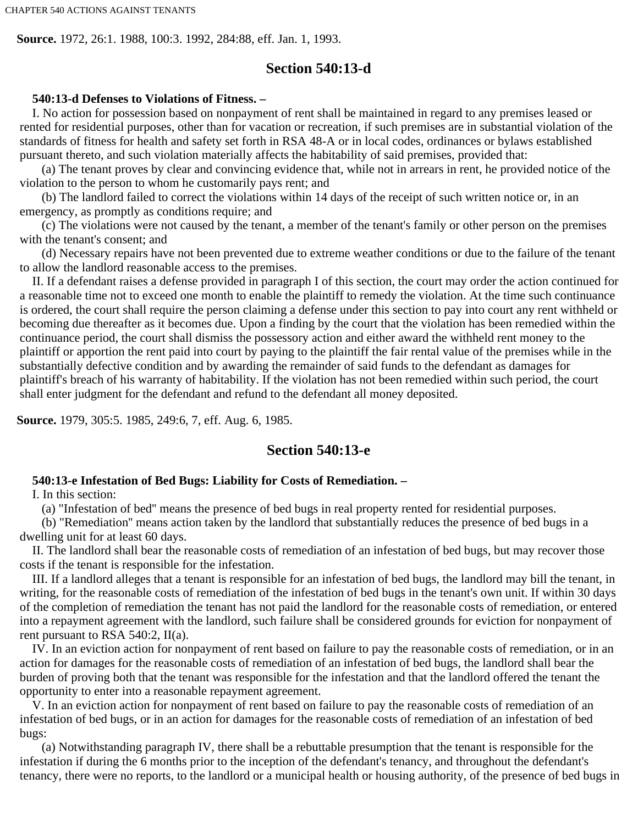**Source.** 1972, 26:1. 1988, 100:3. 1992, 284:88, eff. Jan. 1, 1993.

#### **Section 540:13-d**

#### **540:13-d Defenses to Violations of Fitness. –**

I. No action for possession based on nonpayment of rent shall be maintained in regard to any premises leased or rented for residential purposes, other than for vacation or recreation, if such premises are in substantial violation of the standards of fitness for health and safety set forth in RSA 48-A or in local codes, ordinances or bylaws established pursuant thereto, and such violation materially affects the habitability of said premises, provided that:

(a) The tenant proves by clear and convincing evidence that, while not in arrears in rent, he provided notice of the violation to the person to whom he customarily pays rent; and

(b) The landlord failed to correct the violations within 14 days of the receipt of such written notice or, in an emergency, as promptly as conditions require; and

(c) The violations were not caused by the tenant, a member of the tenant's family or other person on the premises with the tenant's consent; and

(d) Necessary repairs have not been prevented due to extreme weather conditions or due to the failure of the tenant to allow the landlord reasonable access to the premises.

II. If a defendant raises a defense provided in paragraph I of this section, the court may order the action continued for a reasonable time not to exceed one month to enable the plaintiff to remedy the violation. At the time such continuance is ordered, the court shall require the person claiming a defense under this section to pay into court any rent withheld or becoming due thereafter as it becomes due. Upon a finding by the court that the violation has been remedied within the continuance period, the court shall dismiss the possessory action and either award the withheld rent money to the plaintiff or apportion the rent paid into court by paying to the plaintiff the fair rental value of the premises while in the substantially defective condition and by awarding the remainder of said funds to the defendant as damages for plaintiff's breach of his warranty of habitability. If the violation has not been remedied within such period, the court shall enter judgment for the defendant and refund to the defendant all money deposited.

**Source.** 1979, 305:5. 1985, 249:6, 7, eff. Aug. 6, 1985.

#### **Section 540:13-e**

#### **540:13-e Infestation of Bed Bugs: Liability for Costs of Remediation. –**

I. In this section:

(a) "Infestation of bed'' means the presence of bed bugs in real property rented for residential purposes.

(b) "Remediation'' means action taken by the landlord that substantially reduces the presence of bed bugs in a dwelling unit for at least 60 days.

II. The landlord shall bear the reasonable costs of remediation of an infestation of bed bugs, but may recover those costs if the tenant is responsible for the infestation.

III. If a landlord alleges that a tenant is responsible for an infestation of bed bugs, the landlord may bill the tenant, in writing, for the reasonable costs of remediation of the infestation of bed bugs in the tenant's own unit. If within 30 days of the completion of remediation the tenant has not paid the landlord for the reasonable costs of remediation, or entered into a repayment agreement with the landlord, such failure shall be considered grounds for eviction for nonpayment of rent pursuant to RSA 540:2, II(a).

IV. In an eviction action for nonpayment of rent based on failure to pay the reasonable costs of remediation, or in an action for damages for the reasonable costs of remediation of an infestation of bed bugs, the landlord shall bear the burden of proving both that the tenant was responsible for the infestation and that the landlord offered the tenant the opportunity to enter into a reasonable repayment agreement.

V. In an eviction action for nonpayment of rent based on failure to pay the reasonable costs of remediation of an infestation of bed bugs, or in an action for damages for the reasonable costs of remediation of an infestation of bed bugs:

(a) Notwithstanding paragraph IV, there shall be a rebuttable presumption that the tenant is responsible for the infestation if during the 6 months prior to the inception of the defendant's tenancy, and throughout the defendant's tenancy, there were no reports, to the landlord or a municipal health or housing authority, of the presence of bed bugs in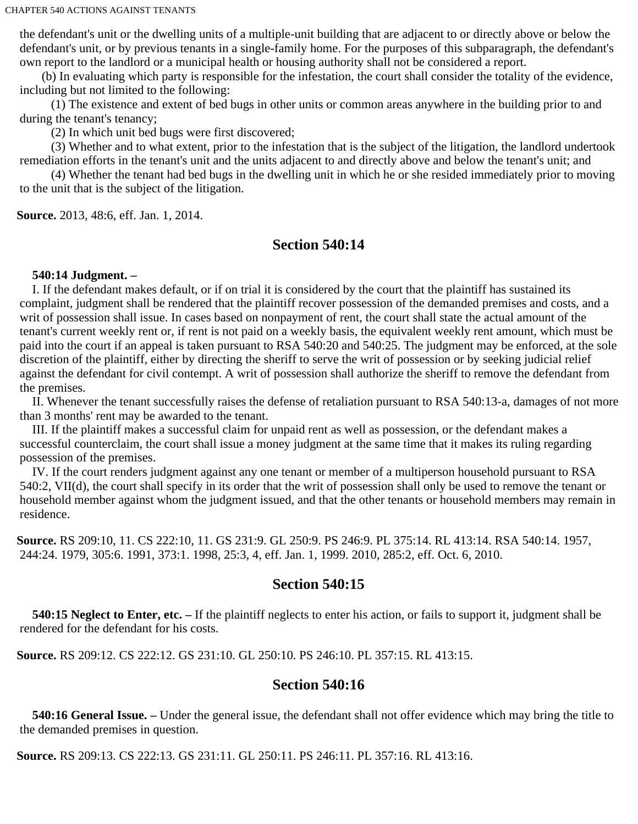the defendant's unit or the dwelling units of a multiple-unit building that are adjacent to or directly above or below the defendant's unit, or by previous tenants in a single-family home. For the purposes of this subparagraph, the defendant's own report to the landlord or a municipal health or housing authority shall not be considered a report.

(b) In evaluating which party is responsible for the infestation, the court shall consider the totality of the evidence, including but not limited to the following:

(1) The existence and extent of bed bugs in other units or common areas anywhere in the building prior to and during the tenant's tenancy;

(2) In which unit bed bugs were first discovered;

(3) Whether and to what extent, prior to the infestation that is the subject of the litigation, the landlord undertook remediation efforts in the tenant's unit and the units adjacent to and directly above and below the tenant's unit; and

(4) Whether the tenant had bed bugs in the dwelling unit in which he or she resided immediately prior to moving to the unit that is the subject of the litigation.

**Source.** 2013, 48:6, eff. Jan. 1, 2014.

# **Section 540:14**

#### **540:14 Judgment. –**

I. If the defendant makes default, or if on trial it is considered by the court that the plaintiff has sustained its complaint, judgment shall be rendered that the plaintiff recover possession of the demanded premises and costs, and a writ of possession shall issue. In cases based on nonpayment of rent, the court shall state the actual amount of the tenant's current weekly rent or, if rent is not paid on a weekly basis, the equivalent weekly rent amount, which must be paid into the court if an appeal is taken pursuant to RSA 540:20 and 540:25. The judgment may be enforced, at the sole discretion of the plaintiff, either by directing the sheriff to serve the writ of possession or by seeking judicial relief against the defendant for civil contempt. A writ of possession shall authorize the sheriff to remove the defendant from the premises.

II. Whenever the tenant successfully raises the defense of retaliation pursuant to RSA 540:13-a, damages of not more than 3 months' rent may be awarded to the tenant.

III. If the plaintiff makes a successful claim for unpaid rent as well as possession, or the defendant makes a successful counterclaim, the court shall issue a money judgment at the same time that it makes its ruling regarding possession of the premises.

IV. If the court renders judgment against any one tenant or member of a multiperson household pursuant to RSA 540:2, VII(d), the court shall specify in its order that the writ of possession shall only be used to remove the tenant or household member against whom the judgment issued, and that the other tenants or household members may remain in residence.

**Source.** RS 209:10, 11. CS 222:10, 11. GS 231:9. GL 250:9. PS 246:9. PL 375:14. RL 413:14. RSA 540:14. 1957, 244:24. 1979, 305:6. 1991, 373:1. 1998, 25:3, 4, eff. Jan. 1, 1999. 2010, 285:2, eff. Oct. 6, 2010.

# **Section 540:15**

 **540:15 Neglect to Enter, etc. –** If the plaintiff neglects to enter his action, or fails to support it, judgment shall be rendered for the defendant for his costs.

**Source.** RS 209:12. CS 222:12. GS 231:10. GL 250:10. PS 246:10. PL 357:15. RL 413:15.

# **Section 540:16**

 **540:16 General Issue. –** Under the general issue, the defendant shall not offer evidence which may bring the title to the demanded premises in question.

**Source.** RS 209:13. CS 222:13. GS 231:11. GL 250:11. PS 246:11. PL 357:16. RL 413:16.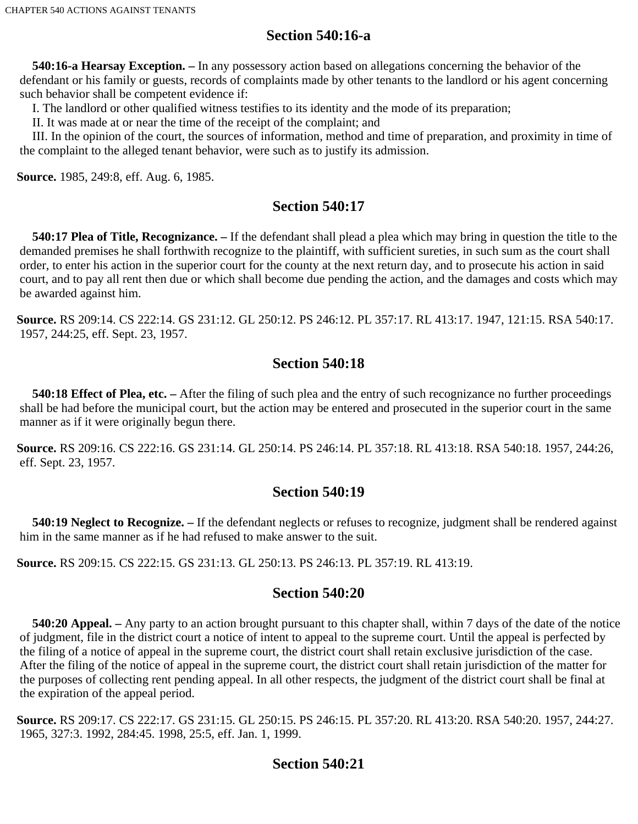# **Section 540:16-a**

 **540:16-a Hearsay Exception. –** In any possessory action based on allegations concerning the behavior of the defendant or his family or guests, records of complaints made by other tenants to the landlord or his agent concerning such behavior shall be competent evidence if:

I. The landlord or other qualified witness testifies to its identity and the mode of its preparation;

II. It was made at or near the time of the receipt of the complaint; and

III. In the opinion of the court, the sources of information, method and time of preparation, and proximity in time of the complaint to the alleged tenant behavior, were such as to justify its admission.

**Source.** 1985, 249:8, eff. Aug. 6, 1985.

# **Section 540:17**

 **540:17 Plea of Title, Recognizance. –** If the defendant shall plead a plea which may bring in question the title to the demanded premises he shall forthwith recognize to the plaintiff, with sufficient sureties, in such sum as the court shall order, to enter his action in the superior court for the county at the next return day, and to prosecute his action in said court, and to pay all rent then due or which shall become due pending the action, and the damages and costs which may be awarded against him.

**Source.** RS 209:14. CS 222:14. GS 231:12. GL 250:12. PS 246:12. PL 357:17. RL 413:17. 1947, 121:15. RSA 540:17. 1957, 244:25, eff. Sept. 23, 1957.

# **Section 540:18**

 **540:18 Effect of Plea, etc. –** After the filing of such plea and the entry of such recognizance no further proceedings shall be had before the municipal court, but the action may be entered and prosecuted in the superior court in the same manner as if it were originally begun there.

**Source.** RS 209:16. CS 222:16. GS 231:14. GL 250:14. PS 246:14. PL 357:18. RL 413:18. RSA 540:18. 1957, 244:26, eff. Sept. 23, 1957.

# **Section 540:19**

 **540:19 Neglect to Recognize. –** If the defendant neglects or refuses to recognize, judgment shall be rendered against him in the same manner as if he had refused to make answer to the suit.

**Source.** RS 209:15. CS 222:15. GS 231:13. GL 250:13. PS 246:13. PL 357:19. RL 413:19.

# **Section 540:20**

 **540:20 Appeal. –** Any party to an action brought pursuant to this chapter shall, within 7 days of the date of the notice of judgment, file in the district court a notice of intent to appeal to the supreme court. Until the appeal is perfected by the filing of a notice of appeal in the supreme court, the district court shall retain exclusive jurisdiction of the case. After the filing of the notice of appeal in the supreme court, the district court shall retain jurisdiction of the matter for the purposes of collecting rent pending appeal. In all other respects, the judgment of the district court shall be final at the expiration of the appeal period.

**Source.** RS 209:17. CS 222:17. GS 231:15. GL 250:15. PS 246:15. PL 357:20. RL 413:20. RSA 540:20. 1957, 244:27. 1965, 327:3. 1992, 284:45. 1998, 25:5, eff. Jan. 1, 1999.

# **Section 540:21**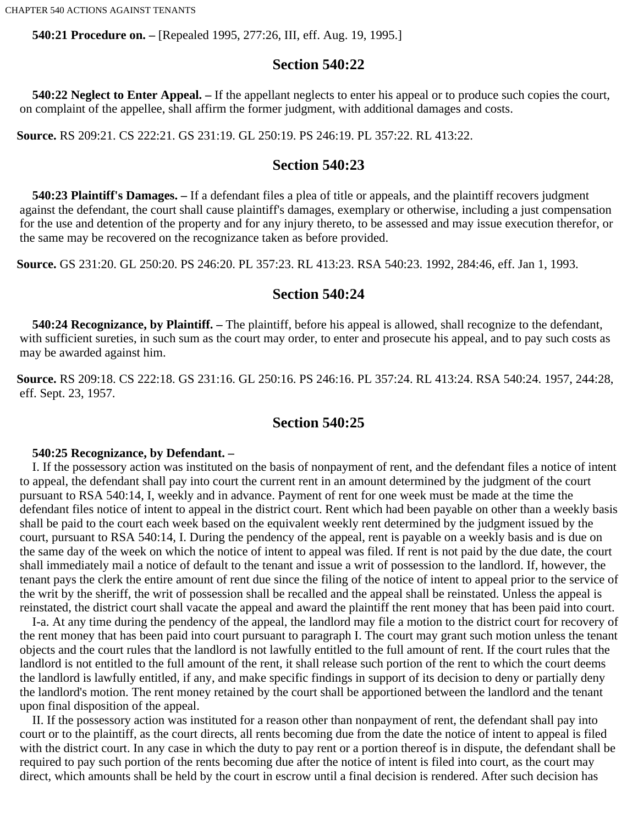**540:21 Procedure on. –** [Repealed 1995, 277:26, III, eff. Aug. 19, 1995.]

# **Section 540:22**

 **540:22 Neglect to Enter Appeal. –** If the appellant neglects to enter his appeal or to produce such copies the court, on complaint of the appellee, shall affirm the former judgment, with additional damages and costs.

**Source.** RS 209:21. CS 222:21. GS 231:19. GL 250:19. PS 246:19. PL 357:22. RL 413:22.

# **Section 540:23**

 **540:23 Plaintiff's Damages. –** If a defendant files a plea of title or appeals, and the plaintiff recovers judgment against the defendant, the court shall cause plaintiff's damages, exemplary or otherwise, including a just compensation for the use and detention of the property and for any injury thereto, to be assessed and may issue execution therefor, or the same may be recovered on the recognizance taken as before provided.

**Source.** GS 231:20. GL 250:20. PS 246:20. PL 357:23. RL 413:23. RSA 540:23. 1992, 284:46, eff. Jan 1, 1993.

# **Section 540:24**

 **540:24 Recognizance, by Plaintiff. –** The plaintiff, before his appeal is allowed, shall recognize to the defendant, with sufficient sureties, in such sum as the court may order, to enter and prosecute his appeal, and to pay such costs as may be awarded against him.

**Source.** RS 209:18. CS 222:18. GS 231:16. GL 250:16. PS 246:16. PL 357:24. RL 413:24. RSA 540:24. 1957, 244:28, eff. Sept. 23, 1957.

# **Section 540:25**

#### **540:25 Recognizance, by Defendant. –**

I. If the possessory action was instituted on the basis of nonpayment of rent, and the defendant files a notice of intent to appeal, the defendant shall pay into court the current rent in an amount determined by the judgment of the court pursuant to RSA 540:14, I, weekly and in advance. Payment of rent for one week must be made at the time the defendant files notice of intent to appeal in the district court. Rent which had been payable on other than a weekly basis shall be paid to the court each week based on the equivalent weekly rent determined by the judgment issued by the court, pursuant to RSA 540:14, I. During the pendency of the appeal, rent is payable on a weekly basis and is due on the same day of the week on which the notice of intent to appeal was filed. If rent is not paid by the due date, the court shall immediately mail a notice of default to the tenant and issue a writ of possession to the landlord. If, however, the tenant pays the clerk the entire amount of rent due since the filing of the notice of intent to appeal prior to the service of the writ by the sheriff, the writ of possession shall be recalled and the appeal shall be reinstated. Unless the appeal is reinstated, the district court shall vacate the appeal and award the plaintiff the rent money that has been paid into court.

I-a. At any time during the pendency of the appeal, the landlord may file a motion to the district court for recovery of the rent money that has been paid into court pursuant to paragraph I. The court may grant such motion unless the tenant objects and the court rules that the landlord is not lawfully entitled to the full amount of rent. If the court rules that the landlord is not entitled to the full amount of the rent, it shall release such portion of the rent to which the court deems the landlord is lawfully entitled, if any, and make specific findings in support of its decision to deny or partially deny the landlord's motion. The rent money retained by the court shall be apportioned between the landlord and the tenant upon final disposition of the appeal.

II. If the possessory action was instituted for a reason other than nonpayment of rent, the defendant shall pay into court or to the plaintiff, as the court directs, all rents becoming due from the date the notice of intent to appeal is filed with the district court. In any case in which the duty to pay rent or a portion thereof is in dispute, the defendant shall be required to pay such portion of the rents becoming due after the notice of intent is filed into court, as the court may direct, which amounts shall be held by the court in escrow until a final decision is rendered. After such decision has